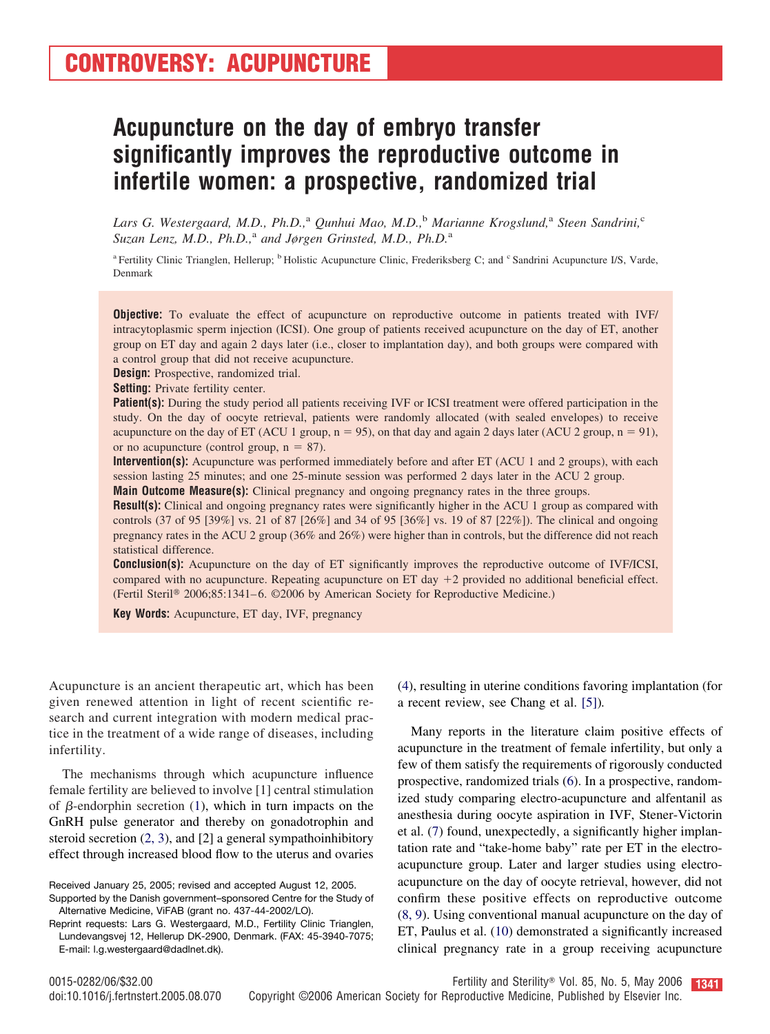# **Acupuncture on the day of embryo transfer significantly improves the reproductive outcome in infertile women: a prospective, randomized trial**

*Lars G. Westergaard, M.D., Ph.D.,*<sup>a</sup> *Qunhui Mao, M.D.,*<sup>b</sup> *Marianne Krogslund,*<sup>a</sup> *Steen Sandrini,*<sup>c</sup> *Suzan Lenz, M.D., Ph.D.,*<sup>a</sup> *and Jørgen Grinsted, M.D., Ph.D.*<sup>a</sup>

<sup>a</sup> Fertility Clinic Trianglen, Hellerup; <sup>b</sup> Holistic Acupuncture Clinic, Frederiksberg C; and <sup>c</sup> Sandrini Acupuncture I/S, Varde, Denmark

**Objective:** To evaluate the effect of acupuncture on reproductive outcome in patients treated with IVF/ intracytoplasmic sperm injection (ICSI). One group of patients received acupuncture on the day of ET, another group on ET day and again 2 days later (i.e., closer to implantation day), and both groups were compared with a control group that did not receive acupuncture.

**Design:** Prospective, randomized trial.

**Setting:** Private fertility center.

**Patient(s):** During the study period all patients receiving IVF or ICSI treatment were offered participation in the study. On the day of oocyte retrieval, patients were randomly allocated (with sealed envelopes) to receive acupuncture on the day of ET (ACU 1 group,  $n = 95$ ), on that day and again 2 days later (ACU 2 group,  $n = 91$ ), or no acupuncture (control group,  $n = 87$ ).

**Intervention(s):** Acupuncture was performed immediately before and after ET (ACU 1 and 2 groups), with each session lasting 25 minutes; and one 25-minute session was performed 2 days later in the ACU 2 group. **Main Outcome Measure(s):** Clinical pregnancy and ongoing pregnancy rates in the three groups.

**Result(s):** Clinical and ongoing pregnancy rates were significantly higher in the ACU 1 group as compared with controls (37 of 95 [39%] vs. 21 of 87 [26%] and 34 of 95 [36%] vs. 19 of 87 [22%]). The clinical and ongoing pregnancy rates in the ACU 2 group (36% and 26%) were higher than in controls, but the difference did not reach statistical difference.

**Conclusion(s):** Acupuncture on the day of ET significantly improves the reproductive outcome of IVF/ICSI, compared with no acupuncture. Repeating acupuncture on ET day -2 provided no additional beneficial effect. (Fertil Steril 2006;85:1341– 6. ©2006 by American Society for Reproductive Medicine.)

**Key Words:** Acupuncture, ET day, IVF, pregnancy

Acupuncture is an ancient therapeutic art, which has been given renewed attention in light of recent scientific research and current integration with modern medical practice in the treatment of a wide range of diseases, including infertility.

The mechanisms through which acupuncture influence female fertility are believed to involve [1] central stimulation of  $\beta$ -endorphin secretion [\(1\)](#page-5-0), which in turn impacts on the GnRH pulse generator and thereby on gonadotrophin and steroid secretion [\(2, 3\)](#page-5-0), and [2] a general sympathoinhibitory effect through increased blood flow to the uterus and ovaries

Supported by the Danish government–sponsored Centre for the Study of Alternative Medicine, ViFAB (grant no. 437-44-2002/LO).

Reprint requests: Lars G. Westergaard, M.D., Fertility Clinic Trianglen, Lundevangsvej 12, Hellerup DK-2900, Denmark. (FAX: 45-3940-7075; E-mail: l.g.westergaard@dadlnet.dk).

[\(4\)](#page-5-0), resulting in uterine conditions favoring implantation (for a recent review, see Chang et al. [\[5\]\)](#page-5-0)*.*

Many reports in the literature claim positive effects of acupuncture in the treatment of female infertility, but only a few of them satisfy the requirements of rigorously conducted prospective, randomized trials [\(6\)](#page-5-0). In a prospective, randomized study comparing electro-acupuncture and alfentanil as anesthesia during oocyte aspiration in IVF, Stener-Victorin et al. [\(7\)](#page-5-0) found, unexpectedly, a significantly higher implantation rate and "take-home baby" rate per ET in the electroacupuncture group. Later and larger studies using electroacupuncture on the day of oocyte retrieval, however, did not confirm these positive effects on reproductive outcome [\(8, 9\)](#page-5-0). Using conventional manual acupuncture on the day of ET, Paulus et al. [\(10\)](#page-5-0) demonstrated a significantly increased clinical pregnancy rate in a group receiving acupuncture



Received January 25, 2005; revised and accepted August 12, 2005.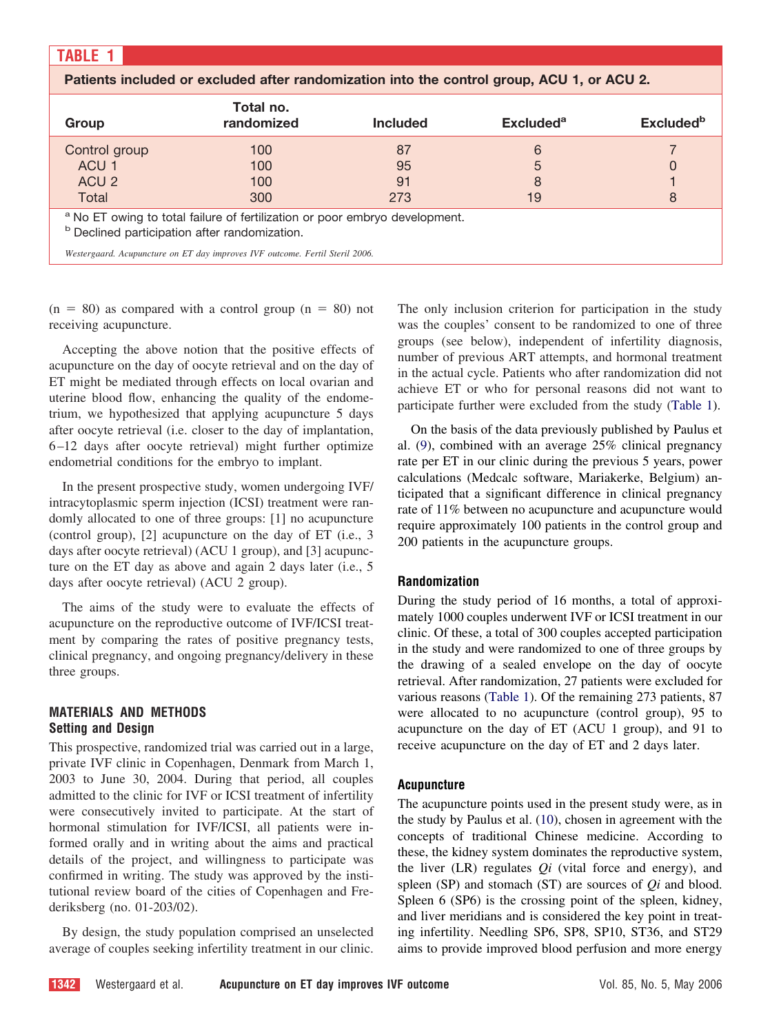| .                                                                                          |                                                                                                                                                    |                 |                       |                              |  |  |
|--------------------------------------------------------------------------------------------|----------------------------------------------------------------------------------------------------------------------------------------------------|-----------------|-----------------------|------------------------------|--|--|
| Patients included or excluded after randomization into the control group, ACU 1, or ACU 2. |                                                                                                                                                    |                 |                       |                              |  |  |
| Group                                                                                      | Total no.<br>randomized                                                                                                                            | <b>Included</b> | Excluded <sup>a</sup> | <b>Excluded</b> <sup>b</sup> |  |  |
| Control group                                                                              | 100                                                                                                                                                | 87              | 6                     |                              |  |  |
| ACU <sub>1</sub>                                                                           | 100                                                                                                                                                | 95              | 5                     | $\Omega$                     |  |  |
| ACU <sub>2</sub>                                                                           | 100                                                                                                                                                | 91              | 8                     |                              |  |  |
| Total                                                                                      | 300                                                                                                                                                | 273             | 19                    | 8                            |  |  |
|                                                                                            | <sup>a</sup> No ET owing to total failure of fertilization or poor embryo development.<br><sup>b</sup> Declined participation after randomization. |                 |                       |                              |  |  |
|                                                                                            | Westergaard. Acupuncture on ET day improves IVF outcome. Fertil Steril 2006.                                                                       |                 |                       |                              |  |  |

 $(n = 80)$  as compared with a control group  $(n = 80)$  not receiving acupuncture.

Accepting the above notion that the positive effects of acupuncture on the day of oocyte retrieval and on the day of ET might be mediated through effects on local ovarian and uterine blood flow, enhancing the quality of the endometrium, we hypothesized that applying acupuncture 5 days after oocyte retrieval (i.e. closer to the day of implantation, 6 –12 days after oocyte retrieval) might further optimize endometrial conditions for the embryo to implant.

In the present prospective study, women undergoing IVF/ intracytoplasmic sperm injection (ICSI) treatment were randomly allocated to one of three groups: [1] no acupuncture (control group), [2] acupuncture on the day of ET (i.e., 3 days after oocyte retrieval) (ACU 1 group), and [3] acupuncture on the ET day as above and again 2 days later (i.e., 5 days after oocyte retrieval) (ACU 2 group).

The aims of the study were to evaluate the effects of acupuncture on the reproductive outcome of IVF/ICSI treatment by comparing the rates of positive pregnancy tests, clinical pregnancy, and ongoing pregnancy/delivery in these three groups.

# **MATERIALS AND METHODS Setting and Design**

<span id="page-1-0"></span>**TABLE 1**

This prospective, randomized trial was carried out in a large, private IVF clinic in Copenhagen, Denmark from March 1, 2003 to June 30, 2004. During that period, all couples admitted to the clinic for IVF or ICSI treatment of infertility were consecutively invited to participate. At the start of hormonal stimulation for IVF/ICSI, all patients were informed orally and in writing about the aims and practical details of the project, and willingness to participate was confirmed in writing. The study was approved by the institutional review board of the cities of Copenhagen and Frederiksberg (no. 01-203/02).

By design, the study population comprised an unselected average of couples seeking infertility treatment in our clinic.

The only inclusion criterion for participation in the study was the couples' consent to be randomized to one of three groups (see below), independent of infertility diagnosis, number of previous ART attempts, and hormonal treatment in the actual cycle. Patients who after randomization did not achieve ET or who for personal reasons did not want to participate further were excluded from the study (Table 1).

On the basis of the data previously published by Paulus et al. [\(9\)](#page-5-0), combined with an average 25% clinical pregnancy rate per ET in our clinic during the previous 5 years, power calculations (Medcalc software, Mariakerke, Belgium) anticipated that a significant difference in clinical pregnancy rate of 11% between no acupuncture and acupuncture would require approximately 100 patients in the control group and 200 patients in the acupuncture groups.

# **Randomization**

During the study period of 16 months, a total of approximately 1000 couples underwent IVF or ICSI treatment in our clinic. Of these, a total of 300 couples accepted participation in the study and were randomized to one of three groups by the drawing of a sealed envelope on the day of oocyte retrieval. After randomization, 27 patients were excluded for various reasons (Table 1). Of the remaining 273 patients, 87 were allocated to no acupuncture (control group), 95 to acupuncture on the day of ET (ACU 1 group), and 91 to receive acupuncture on the day of ET and 2 days later.

#### **Acupuncture**

The acupuncture points used in the present study were, as in the study by Paulus et al. [\(10\)](#page-5-0), chosen in agreement with the concepts of traditional Chinese medicine. According to these, the kidney system dominates the reproductive system, the liver (LR) regulates *Qi* (vital force and energy), and spleen (SP) and stomach (ST) are sources of *Qi* and blood. Spleen 6 (SP6) is the crossing point of the spleen, kidney, and liver meridians and is considered the key point in treating infertility. Needling SP6, SP8, SP10, ST36, and ST29 aims to provide improved blood perfusion and more energy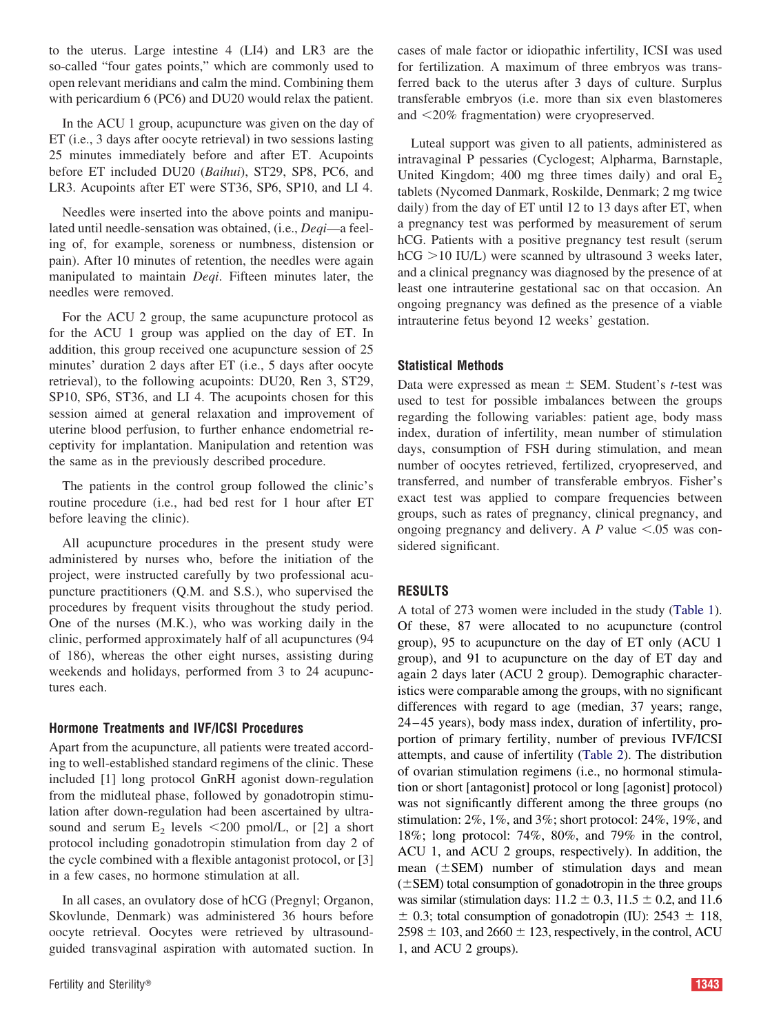to the uterus. Large intestine 4 (LI4) and LR3 are the so-called "four gates points," which are commonly used to open relevant meridians and calm the mind. Combining them with pericardium 6 (PC6) and DU20 would relax the patient.

In the ACU 1 group, acupuncture was given on the day of ET (i.e., 3 days after oocyte retrieval) in two sessions lasting 25 minutes immediately before and after ET. Acupoints before ET included DU20 (*Baihui*), ST29, SP8, PC6, and LR3. Acupoints after ET were ST36, SP6, SP10, and LI 4.

Needles were inserted into the above points and manipulated until needle-sensation was obtained, (i.e., *Deqi*—a feeling of, for example, soreness or numbness, distension or pain). After 10 minutes of retention, the needles were again manipulated to maintain *Deqi*. Fifteen minutes later, the needles were removed.

For the ACU 2 group, the same acupuncture protocol as for the ACU 1 group was applied on the day of ET. In addition, this group received one acupuncture session of 25 minutes' duration 2 days after ET (i.e., 5 days after oocyte retrieval), to the following acupoints: DU20, Ren 3, ST29, SP10, SP6, ST36, and LI 4. The acupoints chosen for this session aimed at general relaxation and improvement of uterine blood perfusion, to further enhance endometrial receptivity for implantation. Manipulation and retention was the same as in the previously described procedure.

The patients in the control group followed the clinic's routine procedure (i.e., had bed rest for 1 hour after ET before leaving the clinic).

All acupuncture procedures in the present study were administered by nurses who, before the initiation of the project, were instructed carefully by two professional acupuncture practitioners (Q.M. and S.S.), who supervised the procedures by frequent visits throughout the study period. One of the nurses (M.K.), who was working daily in the clinic, performed approximately half of all acupunctures (94 of 186), whereas the other eight nurses, assisting during weekends and holidays, performed from 3 to 24 acupunctures each.

#### **Hormone Treatments and IVF/ICSI Procedures**

Apart from the acupuncture, all patients were treated according to well-established standard regimens of the clinic. These included [1] long protocol GnRH agonist down-regulation from the midluteal phase, followed by gonadotropin stimulation after down-regulation had been ascertained by ultrasound and serum  $E_2$  levels <200 pmol/L, or [2] a short protocol including gonadotropin stimulation from day 2 of the cycle combined with a flexible antagonist protocol, or [3] in a few cases, no hormone stimulation at all.

In all cases, an ovulatory dose of hCG (Pregnyl; Organon, Skovlunde, Denmark) was administered 36 hours before oocyte retrieval. Oocytes were retrieved by ultrasoundguided transvaginal aspiration with automated suction. In cases of male factor or idiopathic infertility, ICSI was used for fertilization. A maximum of three embryos was transferred back to the uterus after 3 days of culture. Surplus transferable embryos (i.e. more than six even blastomeres and 20% fragmentation) were cryopreserved.

Luteal support was given to all patients, administered as intravaginal P pessaries (Cyclogest; Alpharma, Barnstaple, United Kingdom; 400 mg three times daily) and oral  $E<sub>2</sub>$ tablets (Nycomed Danmark, Roskilde, Denmark; 2 mg twice daily) from the day of ET until 12 to 13 days after ET, when a pregnancy test was performed by measurement of serum hCG. Patients with a positive pregnancy test result (serum  $hCG > 10$  IU/L) were scanned by ultrasound 3 weeks later, and a clinical pregnancy was diagnosed by the presence of at least one intrauterine gestational sac on that occasion. An ongoing pregnancy was defined as the presence of a viable intrauterine fetus beyond 12 weeks' gestation.

#### **Statistical Methods**

Data were expressed as mean  $\pm$  SEM. Student's *t*-test was used to test for possible imbalances between the groups regarding the following variables: patient age, body mass index, duration of infertility, mean number of stimulation days, consumption of FSH during stimulation, and mean number of oocytes retrieved, fertilized, cryopreserved, and transferred, and number of transferable embryos. Fisher's exact test was applied to compare frequencies between groups, such as rates of pregnancy, clinical pregnancy, and ongoing pregnancy and delivery. A  $P$  value  $\leq .05$  was considered significant.

# **RESULTS**

A total of 273 women were included in the study [\(Table 1\)](#page-1-0). Of these, 87 were allocated to no acupuncture (control group), 95 to acupuncture on the day of ET only (ACU 1 group), and 91 to acupuncture on the day of ET day and again 2 days later (ACU 2 group). Demographic characteristics were comparable among the groups, with no significant differences with regard to age (median, 37 years; range, 24 – 45 years), body mass index, duration of infertility, proportion of primary fertility, number of previous IVF/ICSI attempts, and cause of infertility [\(Table 2\)](#page-3-0). The distribution of ovarian stimulation regimens (i.e., no hormonal stimulation or short [antagonist] protocol or long [agonist] protocol) was not significantly different among the three groups (no stimulation: 2%, 1%, and 3%; short protocol: 24%, 19%, and 18%; long protocol: 74%, 80%, and 79% in the control, ACU 1, and ACU 2 groups, respectively). In addition, the mean  $(\pm$ SEM) number of stimulation days and mean  $(\pm$ SEM) total consumption of gonadotropin in the three groups was similar (stimulation days:  $11.2 \pm 0.3$ ,  $11.5 \pm 0.2$ , and  $11.6$  $\pm$  0.3; total consumption of gonadotropin (IU): 2543  $\pm$  118,  $2598 \pm 103$ , and  $2660 \pm 123$ , respectively, in the control, ACU 1, and ACU 2 groups).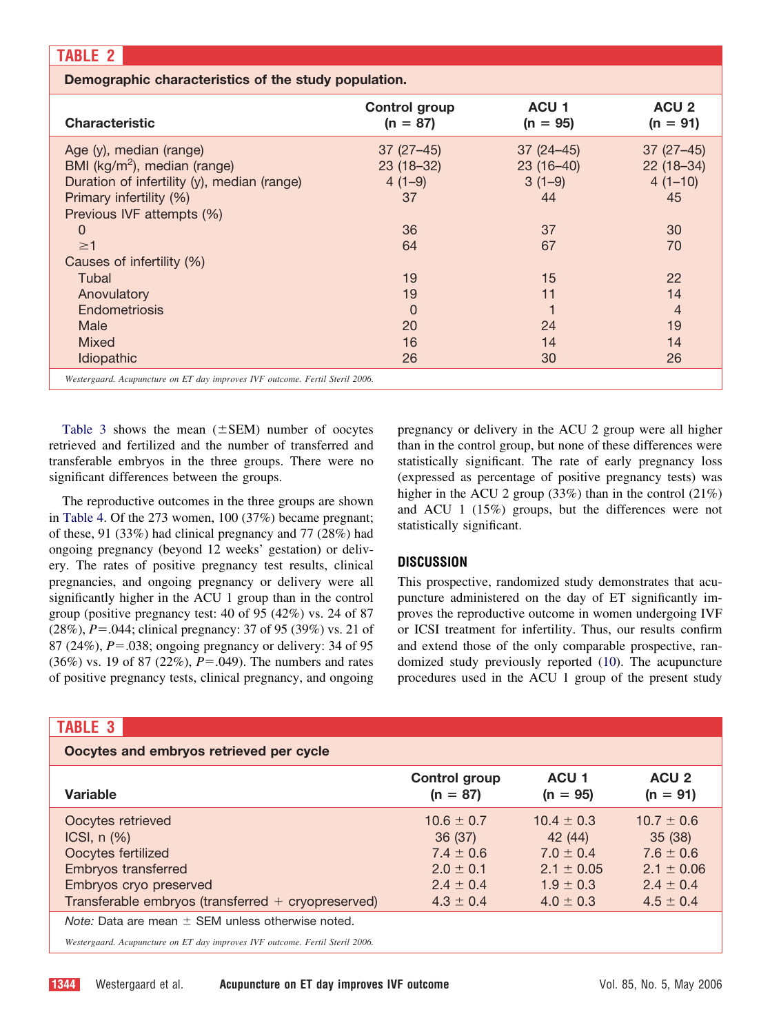# <span id="page-3-0"></span>**TABLE 2**

**Demographic characteristics of the study population.**

| ACU <sub>1</sub><br>ACU <sub>2</sub><br><b>Control group</b><br><b>Characteristic</b><br>$(n = 95)$<br>$(n = 91)$<br>$(n = 87)$<br>$37(27-45)$<br>$37(27-45)$<br>$37(24 - 45)$<br>Age (y), median (range)<br>BMI ( $kg/m2$ ), median (range)<br>$23(16-40)$<br>$22(18-34)$<br>$23(18-32)$<br>$4(1-10)$<br>Duration of infertility (y), median (range)<br>$4(1-9)$<br>$3(1-9)$<br>37<br>Primary infertility (%)<br>45<br>44<br>Previous IVF attempts (%)<br>36<br>37<br>30<br>0<br>64<br>67<br>70<br>$\geq$ 1<br>Causes of infertility (%)<br>19<br>15<br>22<br>Tubal<br>19<br>14<br>11<br>Anovulatory<br>Endometriosis<br>0<br>$\overline{4}$<br>20<br>19<br>Male<br>24<br>16<br><b>Mixed</b><br>14<br>14 |                   |    |  |
|-----------------------------------------------------------------------------------------------------------------------------------------------------------------------------------------------------------------------------------------------------------------------------------------------------------------------------------------------------------------------------------------------------------------------------------------------------------------------------------------------------------------------------------------------------------------------------------------------------------------------------------------------------------------------------------------------------------|-------------------|----|--|
|                                                                                                                                                                                                                                                                                                                                                                                                                                                                                                                                                                                                                                                                                                           |                   |    |  |
| 26<br>30                                                                                                                                                                                                                                                                                                                                                                                                                                                                                                                                                                                                                                                                                                  | <b>Idiopathic</b> | 26 |  |
| Westergaard. Acupuncture on ET day improves IVF outcome. Fertil Steril 2006.                                                                                                                                                                                                                                                                                                                                                                                                                                                                                                                                                                                                                              |                   |    |  |

Table 3 shows the mean  $(\pm$ SEM) number of oocytes retrieved and fertilized and the number of transferred and transferable embryos in the three groups. There were no significant differences between the groups.

The reproductive outcomes in the three groups are shown in [Table 4.](#page-4-0) Of the 273 women, 100 (37%) became pregnant; of these, 91 (33%) had clinical pregnancy and 77 (28%) had ongoing pregnancy (beyond 12 weeks' gestation) or delivery. The rates of positive pregnancy test results, clinical pregnancies, and ongoing pregnancy or delivery were all significantly higher in the ACU 1 group than in the control group (positive pregnancy test: 40 of 95 (42%) vs. 24 of 87  $(28\%)$ ,  $P = .044$ ; clinical pregnancy: 37 of 95 (39%) vs. 21 of 87 (24%), *P*=.038; ongoing pregnancy or delivery: 34 of 95  $(36%)$  vs. 19 of 87  $(22%)$ ,  $P = .049$ ). The numbers and rates of positive pregnancy tests, clinical pregnancy, and ongoing pregnancy or delivery in the ACU 2 group were all higher than in the control group, but none of these differences were statistically significant. The rate of early pregnancy loss (expressed as percentage of positive pregnancy tests) was higher in the ACU 2 group (33%) than in the control (21%) and ACU 1 (15%) groups, but the differences were not statistically significant.

# **DISCUSSION**

This prospective, randomized study demonstrates that acupuncture administered on the day of ET significantly improves the reproductive outcome in women undergoing IVF or ICSI treatment for infertility. Thus, our results confirm and extend those of the only comparable prospective, randomized study previously reported [\(10\)](#page-5-0). The acupuncture procedures used in the ACU 1 group of the present study

| <b>TABLE 3</b>                                                                                                                                                       |                                                                                       |                                                                                          |                                                                                       |  |  |  |
|----------------------------------------------------------------------------------------------------------------------------------------------------------------------|---------------------------------------------------------------------------------------|------------------------------------------------------------------------------------------|---------------------------------------------------------------------------------------|--|--|--|
| Oocytes and embryos retrieved per cycle                                                                                                                              |                                                                                       |                                                                                          |                                                                                       |  |  |  |
| Variable                                                                                                                                                             | <b>Control group</b><br>$(n = 87)$                                                    | ACU 1<br>$(n = 95)$                                                                      | ACU 2<br>$(n = 91)$                                                                   |  |  |  |
| Oocytes retrieved<br>ICSI, $n$ $(\%)$<br>Oocytes fertilized<br>Embryos transferred<br>Embryos cryo preserved<br>Transferable embryos (transferred $+$ cryopreserved) | $10.6 + 0.7$<br>36 (37)<br>$7.4 + 0.6$<br>$2.0 \pm 0.1$<br>$2.4 + 0.4$<br>$4.3 + 0.4$ | $10.4 + 0.3$<br>42 (44)<br>$7.0 + 0.4$<br>$2.1 \pm 0.05$<br>$1.9 + 0.3$<br>$4.0 \pm 0.3$ | $10.7 + 0.6$<br>35(38)<br>$7.6 + 0.6$<br>$2.1 + 0.06$<br>$2.4 + 0.4$<br>$4.5 \pm 0.4$ |  |  |  |
| Note: Data are mean $\pm$ SEM unless otherwise noted.<br>Westergaard. Acupuncture on ET day improves IVF outcome. Fertil Steril 2006.                                |                                                                                       |                                                                                          |                                                                                       |  |  |  |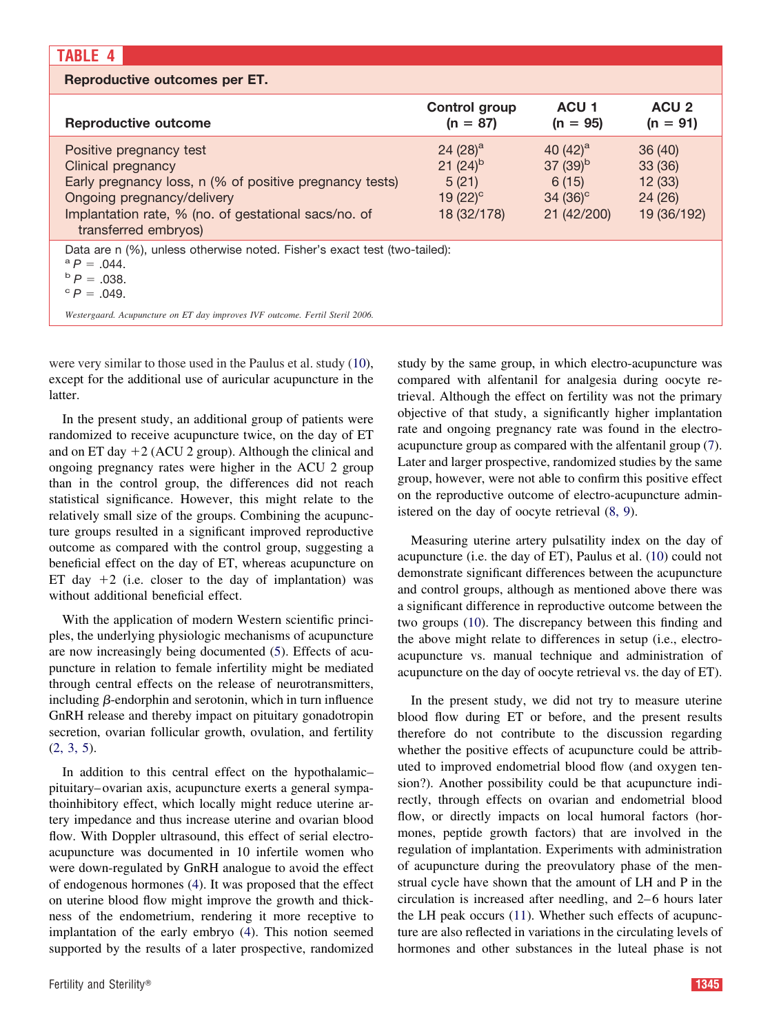<span id="page-4-0"></span>

| <b>TABLE 4</b>                                                                                                                                                                                                            |                                                                      |                                                                        |                                                      |
|---------------------------------------------------------------------------------------------------------------------------------------------------------------------------------------------------------------------------|----------------------------------------------------------------------|------------------------------------------------------------------------|------------------------------------------------------|
| <b>Reproductive outcomes per ET.</b>                                                                                                                                                                                      |                                                                      |                                                                        |                                                      |
| <b>Reproductive outcome</b>                                                                                                                                                                                               | <b>Control group</b><br>$(n = 87)$                                   | ACU 1<br>$(n = 95)$                                                    | ACU <sub>2</sub><br>$(n = 91)$                       |
| Positive pregnancy test<br>Clinical pregnancy<br>Early pregnancy loss, n (% of positive pregnancy tests)<br>Ongoing pregnancy/delivery<br>Implantation rate, % (no. of gestational sacs/no. of<br>transferred embryos)    | $24(28)^a$<br>$21 (24)^{b}$<br>5(21)<br>19 $(22)^{c}$<br>18 (32/178) | 40 $(42)^a$<br>$37(39)^b$<br>6(15)<br>34 $(36)^{\circ}$<br>21 (42/200) | 36(40)<br>33 (36)<br>12(33)<br>24(26)<br>19 (36/192) |
| Data are n (%), unless otherwise noted. Fisher's exact test (two-tailed):<br>$^{\circ}P = .044$ .<br>$P = .038$ .<br>$^{\circ}P = .049$ .<br>Westergaard. Acupuncture on ET day improves IVF outcome. Fertil Steril 2006. |                                                                      |                                                                        |                                                      |

were very similar to those used in the Paulus et al. study [\(10\)](#page-5-0), except for the additional use of auricular acupuncture in the latter.

In the present study, an additional group of patients were randomized to receive acupuncture twice, on the day of ET and on ET day  $+2$  (ACU 2 group). Although the clinical and ongoing pregnancy rates were higher in the ACU 2 group than in the control group, the differences did not reach statistical significance. However, this might relate to the relatively small size of the groups. Combining the acupuncture groups resulted in a significant improved reproductive outcome as compared with the control group, suggesting a beneficial effect on the day of ET, whereas acupuncture on ET day  $+2$  (i.e. closer to the day of implantation) was without additional beneficial effect.

With the application of modern Western scientific principles, the underlying physiologic mechanisms of acupuncture are now increasingly being documented [\(5\)](#page-5-0). Effects of acupuncture in relation to female infertility might be mediated through central effects on the release of neurotransmitters, including  $\beta$ -endorphin and serotonin, which in turn influence GnRH release and thereby impact on pituitary gonadotropin secretion, ovarian follicular growth, ovulation, and fertility [\(2, 3, 5\)](#page-5-0).

In addition to this central effect on the hypothalamic– pituitary– ovarian axis, acupuncture exerts a general sympathoinhibitory effect, which locally might reduce uterine artery impedance and thus increase uterine and ovarian blood flow. With Doppler ultrasound, this effect of serial electroacupuncture was documented in 10 infertile women who were down-regulated by GnRH analogue to avoid the effect of endogenous hormones [\(4\)](#page-5-0). It was proposed that the effect on uterine blood flow might improve the growth and thickness of the endometrium, rendering it more receptive to implantation of the early embryo [\(4\)](#page-5-0). This notion seemed supported by the results of a later prospective, randomized study by the same group, in which electro-acupuncture was compared with alfentanil for analgesia during oocyte retrieval. Although the effect on fertility was not the primary objective of that study, a significantly higher implantation rate and ongoing pregnancy rate was found in the electroacupuncture group as compared with the alfentanil group [\(7\)](#page-5-0). Later and larger prospective, randomized studies by the same group, however, were not able to confirm this positive effect on the reproductive outcome of electro-acupuncture administered on the day of oocyte retrieval [\(8, 9\)](#page-5-0).

Measuring uterine artery pulsatility index on the day of acupuncture (i.e. the day of ET), Paulus et al. [\(10\)](#page-5-0) could not demonstrate significant differences between the acupuncture and control groups, although as mentioned above there was a significant difference in reproductive outcome between the two groups [\(10\)](#page-5-0). The discrepancy between this finding and the above might relate to differences in setup (i.e., electroacupuncture vs. manual technique and administration of acupuncture on the day of oocyte retrieval vs. the day of ET).

In the present study, we did not try to measure uterine blood flow during ET or before, and the present results therefore do not contribute to the discussion regarding whether the positive effects of acupuncture could be attributed to improved endometrial blood flow (and oxygen tension?). Another possibility could be that acupuncture indirectly, through effects on ovarian and endometrial blood flow, or directly impacts on local humoral factors (hormones, peptide growth factors) that are involved in the regulation of implantation. Experiments with administration of acupuncture during the preovulatory phase of the menstrual cycle have shown that the amount of LH and P in the circulation is increased after needling, and 2–6 hours later the LH peak occurs [\(11\)](#page-5-0). Whether such effects of acupuncture are also reflected in variations in the circulating levels of hormones and other substances in the luteal phase is not